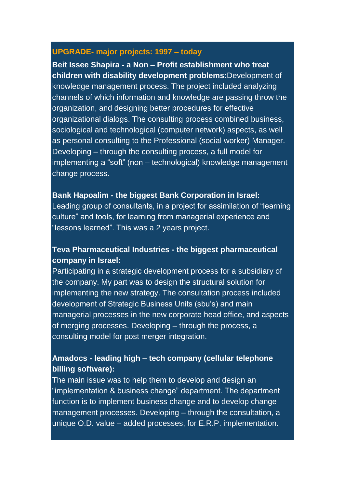### **UPGRADE- major projects: 1997 – today**

**Beit Issee Shapira - a Non – Profit establishment who treat children with disability development problems:**Development of knowledge management process. The project included analyzing channels of which information and knowledge are passing throw the organization, and designing better procedures for effective organizational dialogs. The consulting process combined business, sociological and technological (computer network) aspects, as well as personal consulting to the Professional (social worker) Manager. Developing – through the consulting process, a full model for implementing a "soft" (non – technological) knowledge management change process.

### **Bank Hapoalim - the biggest Bank Corporation in Israel:**

Leading group of consultants, in a project for assimilation of "learning culture" and tools, for learning from managerial experience and "lessons learned". This was a 2 years project.

# **Teva Pharmaceutical Industries - the biggest pharmaceutical company in Israel:**

Participating in a strategic development process for a subsidiary of the company. My part was to design the structural solution for implementing the new strategy. The consultation process included development of Strategic Business Units (sbu's) and main managerial processes in the new corporate head office, and aspects of merging processes. Developing – through the process, a consulting model for post merger integration.

# **Amadocs - leading high – tech company (cellular telephone billing software):**

The main issue was to help them to develop and design an "implementation & business change" department. The department function is to implement business change and to develop change management processes. Developing – through the consultation, a unique O.D. value – added processes, for E.R.P. implementation.